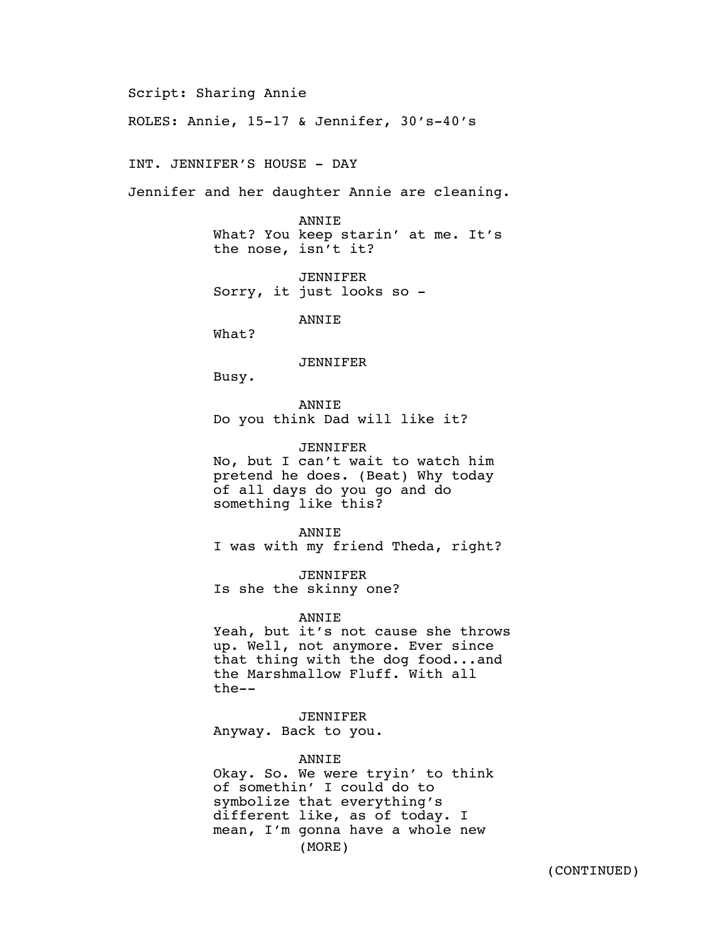Script: Sharing Annie

ROLES: Annie, 15-17 & Jennifer, 30's-40's

INT. JENNIFER'S HOUSE - DAY

Jennifer and her daughter Annie are cleaning.

ANNIE What? You keep starin' at me. It's the nose, isn't it?

JENNIFER Sorry, it just looks so -

ANNIE

What?

JENNIFER

Busy.

ANNIE Do you think Dad will like it?

JENNIFER No, but I can't wait to watch him pretend he does. (Beat) Why today of all days do you go and do something like this?

ANNIE I was with my friend Theda, right?

JENNIFER Is she the skinny one?

ANNIE

Yeah, but it's not cause she throws up. Well, not anymore. Ever since that thing with the dog food...and the Marshmallow Fluff. With all the--

JENNIFER Anyway. Back to you.

ANNIE

Okay. So. We were tryin' to think of somethin' I could do to symbolize that everything's different like, as of today. I mean, I'm gonna have a whole new (MORE)

(CONTINUED)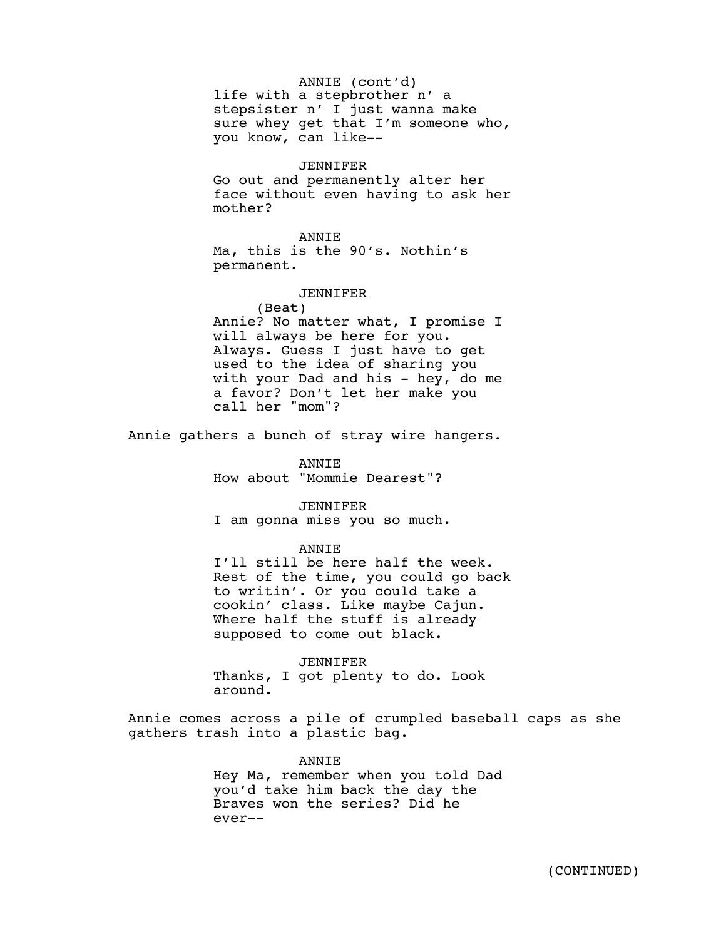#### ANNIE (cont'd)

life with a stepbrother n' a stepsister n' I just wanna make sure whey get that I'm someone who, you know, can like--

#### JENNIFER

Go out and permanently alter her face without even having to ask her mother?

# ANNIE

Ma, this is the 90's. Nothin's permanent.

# JENNIFER

(Beat) Annie? No matter what, I promise I will always be here for you. Always. Guess I just have to get used to the idea of sharing you with your Dad and his - hey, do me a favor? Don't let her make you call her "mom"?

Annie gathers a bunch of stray wire hangers.

ANNIE How about "Mommie Dearest"?

JENNIFER I am gonna miss you so much.

**ANNTE** 

I'll still be here half the week. Rest of the time, you could go back to writin'. Or you could take a cookin' class. Like maybe Cajun. Where half the stuff is already supposed to come out black.

JENNIFER Thanks, I got plenty to do. Look around.

Annie comes across a pile of crumpled baseball caps as she gathers trash into a plastic bag.

### ANNIE

Hey Ma, remember when you told Dad you'd take him back the day the Braves won the series? Did he ever--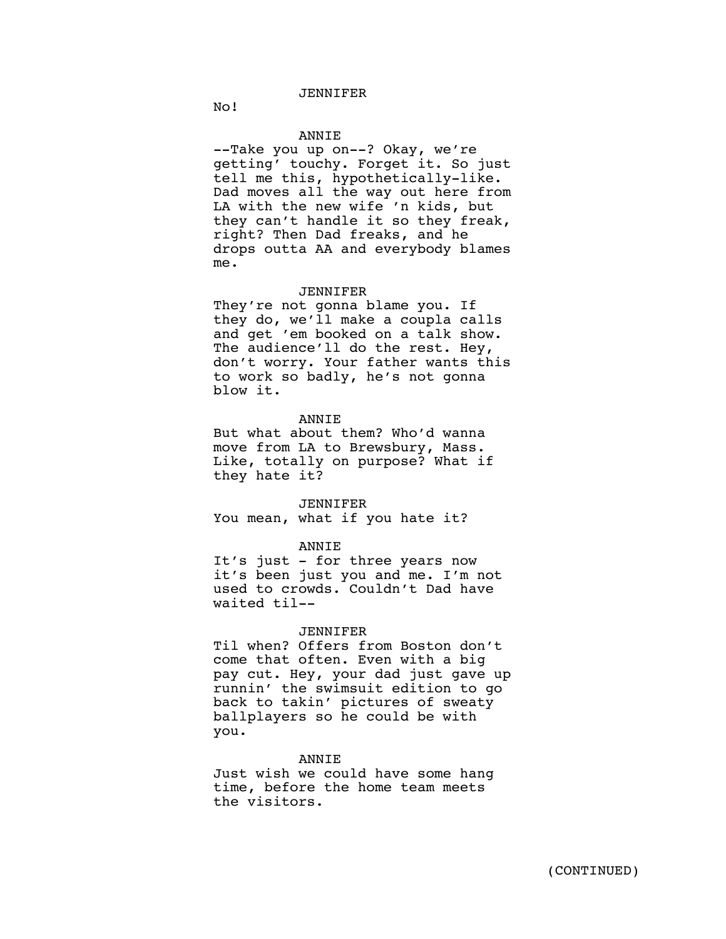# JENNIFER

No!

# **ANNTE**

--Take you up on--? Okay, we're getting' touchy. Forget it. So just tell me this, hypothetically-like. Dad moves all the way out here from LA with the new wife 'n kids, but they can't handle it so they freak, right? Then Dad freaks, and he drops outta AA and everybody blames me.

#### JENNIFER

They're not gonna blame you. If they do, we'll make a coupla calls and get 'em booked on a talk show. The audience'll do the rest. Hey, don't worry. Your father wants this to work so badly, he's not gonna blow it.

### ANNIE

But what about them? Who'd wanna move from LA to Brewsbury, Mass. Like, totally on purpose? What if they hate it?

JENNIFER You mean, what if you hate it?

### ANNIE

It's just - for three years now it's been just you and me. I'm not used to crowds. Couldn't Dad have waited til--

#### JENNIFER

Til when? Offers from Boston don't come that often. Even with a big pay cut. Hey, your dad just gave up runnin' the swimsuit edition to go back to takin' pictures of sweaty ballplayers so he could be with you.

### ANNIE

Just wish we could have some hang time, before the home team meets the visitors.